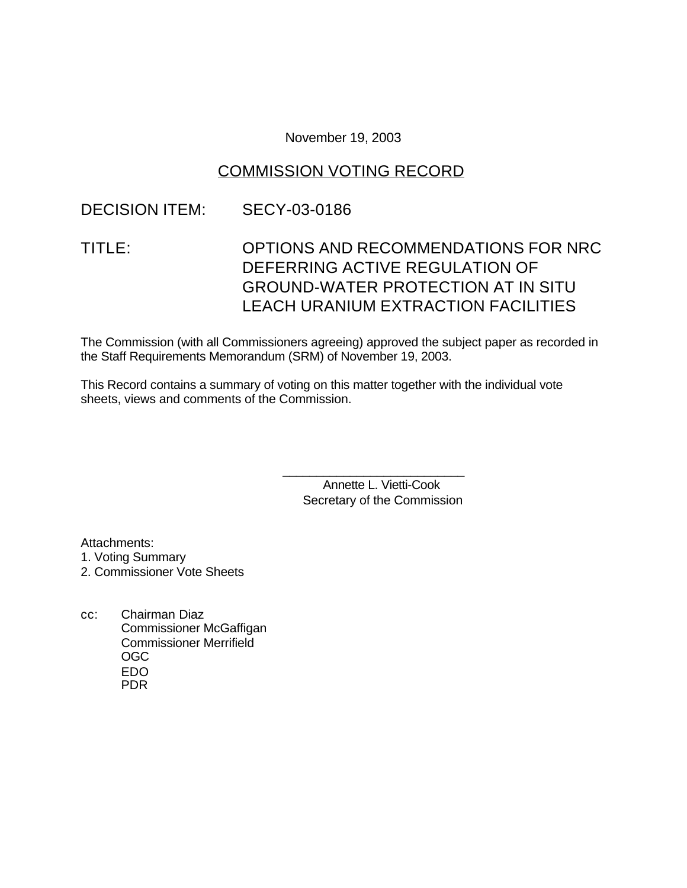November 19, 2003

## COMMISSION VOTING RECORD

### DECISION ITEM: SECY-03-0186

# TITLE: OPTIONS AND RECOMMENDATIONS FOR NRC DEFERRING ACTIVE REGULATION OF GROUND-WATER PROTECTION AT IN SITU LEACH URANIUM EXTRACTION FACILITIES

The Commission (with all Commissioners agreeing) approved the subject paper as recorded in the Staff Requirements Memorandum (SRM) of November 19, 2003.

This Record contains a summary of voting on this matter together with the individual vote sheets, views and comments of the Commission.

> Annette L. Vietti-Cook Secretary of the Commission

\_\_\_\_\_\_\_\_\_\_\_\_\_\_\_\_\_\_\_\_\_\_\_\_\_\_\_

Attachments:

1. Voting Summary

2. Commissioner Vote Sheets

cc: Chairman Diaz Commissioner McGaffigan Commissioner Merrifield OGC EDO PDR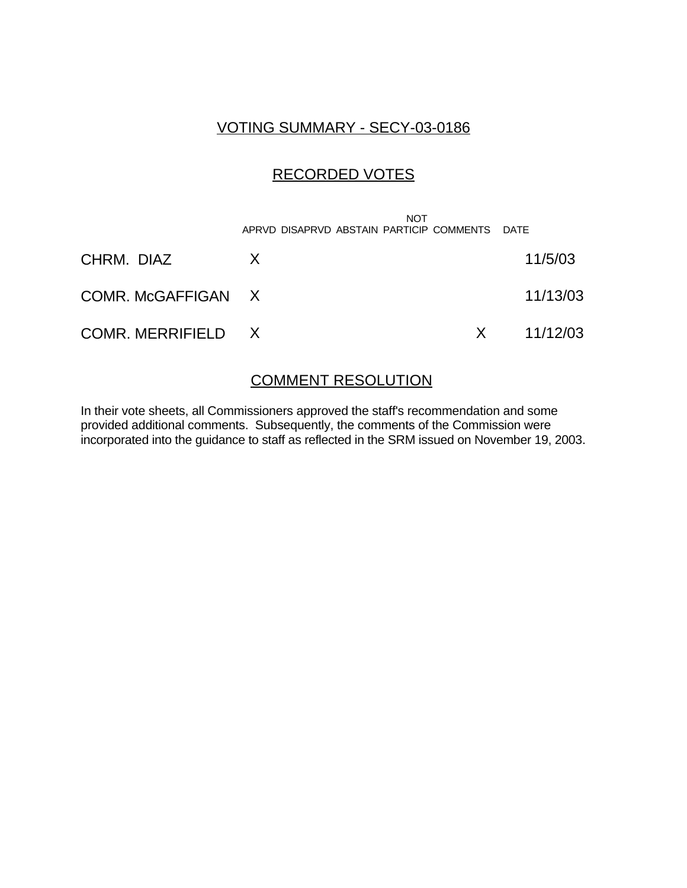### VOTING SUMMARY - SECY-03-0186

### RECORDED VOTES

|                    | <b>NOT</b><br>APRVD DISAPRVD ABSTAIN PARTICIP COMMENTS DATE |                |
|--------------------|-------------------------------------------------------------|----------------|
| CHRM. DIAZ         | X.                                                          | 11/5/03        |
| COMR. McGAFFIGAN X |                                                             | 11/13/03       |
| COMR. MERRIFIELD X |                                                             | $X = 11/12/03$ |

#### COMMENT RESOLUTION

In their vote sheets, all Commissioners approved the staff's recommendation and some provided additional comments. Subsequently, the comments of the Commission were incorporated into the guidance to staff as reflected in the SRM issued on November 19, 2003.